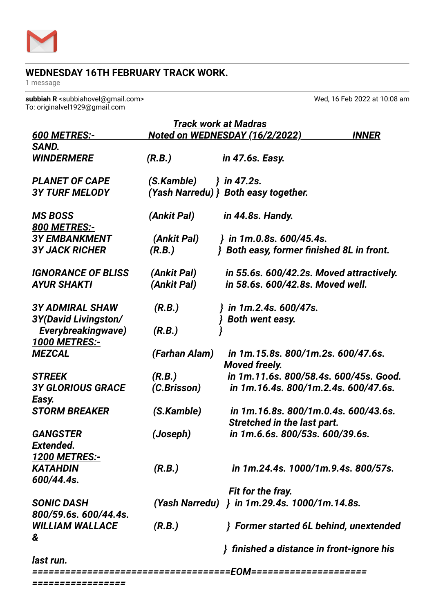

## **WEDNESDAY 16TH FEBRUARY TRACK WORK.**

1 message

**subbiah R** <subbiahovel@gmail.com> Wed, 16 Feb 2022 at 10:08 am To: originalvel1929@gmail.com

| <b>Track work at Madras</b>                           |               |                                                                     |              |
|-------------------------------------------------------|---------------|---------------------------------------------------------------------|--------------|
| <b>600 METRES:-</b>                                   |               | <u>Noted on WEDNESDAY (16/2/2022)</u>                               | <b>INNER</b> |
| SAND.                                                 |               |                                                                     |              |
| <b><i>WINDERMERE</i></b>                              | (R.B.)        | <i>in 47.6s. Easy.</i>                                              |              |
| <b>PLANET OF CAPE</b>                                 | (S.Kamble)    | } in 47.2s.                                                         |              |
| <b>3Y TURF MELODY</b>                                 |               | (Yash Narredu) } Both easy together.                                |              |
| <b>MS BOSS</b><br><b>800 METRES:-</b>                 | (Ankit Pal)   | <i>in 44.8s. Handy.</i>                                             |              |
| <b>3Y EMBANKMENT</b>                                  | (Ankit Pal)   | } in 1m.0.8s. 600/45.4s.                                            |              |
| <b>3Y JACK RICHER</b>                                 | (R.B.)        | } Both easy, former finished 8L in front.                           |              |
| <b>IGNORANCE OF BLISS</b>                             | (Ankit Pal)   | in 55.6s. 600/42.2s. Moved attractively.                            |              |
| <b>AYUR SHAKTI</b>                                    | (Ankit Pal)   | in 58.6s. 600/42.8s. Moved well.                                    |              |
| <b>3Y ADMIRAL SHAW</b><br><b>3Y(David Livingston/</b> | (R.B.)        | in 1m.2.4s. 600/47s.<br>Both went easy.                             |              |
| Everybreakingwave)<br><b>1000 METRES:-</b>            | (R.B.)        |                                                                     |              |
| <b>MEZCAL</b>                                         | (Farhan Alam) | in 1m.15.8s. 800/1m.2s. 600/47.6s.<br><b>Moved freely.</b>          |              |
| <b>STREEK</b>                                         | (R.B.)        | in 1m.11.6s. 800/58.4s. 600/45s. Good.                              |              |
| <b>3Y GLORIOUS GRACE</b><br>Easy.                     | (C.Brisson)   | in 1m.16.4s. 800/1m.2.4s. 600/47.6s.                                |              |
| <b>STORM BREAKER</b>                                  | (S.Kamble)    | in 1m.16.8s. 800/1m.0.4s. 600/43.6s.<br>Stretched in the last part. |              |
| <b>GANGSTER</b>                                       | (Joseph)      | in 1m.6.6s. 800/53s. 600/39.6s.                                     |              |
| <b>Extended.</b>                                      |               |                                                                     |              |
| <u> 1200 METRES:-</u>                                 |               |                                                                     |              |
| <b>KATAHDIN</b>                                       | (R.B.)        | in 1m.24.4s. 1000/1m.9.4s. 800/57s.                                 |              |
| 600/44.4s.                                            |               |                                                                     |              |
|                                                       |               | Fit for the fray.                                                   |              |
| <b>SONIC DASH</b>                                     |               | (Yash Narredu) } in 1m.29.4s. 1000/1m.14.8s.                        |              |
| 800/59.6s. 600/44.4s.                                 |               |                                                                     |              |
| <b>WILLIAM WALLACE</b>                                | (R.B.)        | Former started 6L behind, unextended                                |              |
| &                                                     |               | finished a distance in front-ignore his                             |              |
| last run.                                             |               |                                                                     |              |
|                                                       |               |                                                                     |              |

*=================*